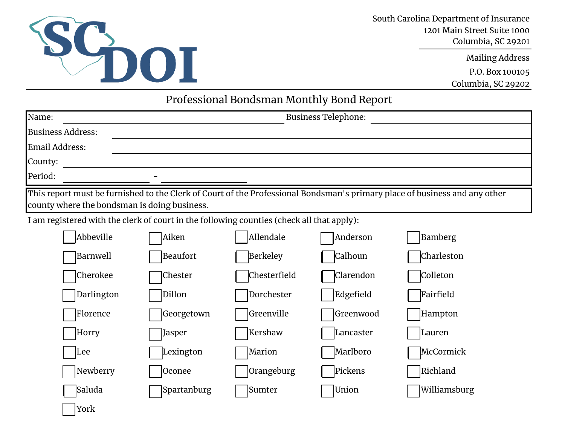

York

South Carolina Department of Insurance 1201 Main Street Suite 1000 Columbia, SC 29201

Mailing Address

P.O. Box 100105

Columbia, SC 29202

## Professional Bondsman Monthly Bond Report

| Name:                                                                                     | <b>Business Telephone:</b> |                 |                  |                                                                                                                            |  |  |
|-------------------------------------------------------------------------------------------|----------------------------|-----------------|------------------|----------------------------------------------------------------------------------------------------------------------------|--|--|
| <b>Business Address:</b>                                                                  |                            |                 |                  |                                                                                                                            |  |  |
| Email Address:                                                                            |                            |                 |                  |                                                                                                                            |  |  |
| County:                                                                                   |                            |                 |                  |                                                                                                                            |  |  |
| Period:                                                                                   |                            |                 |                  |                                                                                                                            |  |  |
| county where the bondsman is doing business.                                              |                            |                 |                  | This report must be furnished to the Clerk of Court of the Professional Bondsman's primary place of business and any other |  |  |
| I am registered with the clerk of court in the following counties (check all that apply): |                            |                 |                  |                                                                                                                            |  |  |
| Abbeville                                                                                 | Aiken                      | Allendale       | Anderson         | Bamberg                                                                                                                    |  |  |
| Barnwell                                                                                  | <b>Beaufort</b>            | <b>Berkeley</b> | Calhoun          | Charleston                                                                                                                 |  |  |
| Cherokee                                                                                  | <b>Chester</b>             | Chesterfield    | <b>Clarendon</b> | Colleton                                                                                                                   |  |  |
| Darlington                                                                                | Dillon                     | Dorchester      | Edgefield        | Fairfield                                                                                                                  |  |  |
| Florence                                                                                  | Georgetown                 | Greenville      | Greenwood        | Hampton                                                                                                                    |  |  |
| Horry                                                                                     | Jasper                     | Kershaw         | Lancaster        | Lauren                                                                                                                     |  |  |
| Lee                                                                                       | Lexington                  | Marion          | Marlboro         | McCormick                                                                                                                  |  |  |
| Newberry                                                                                  | Oconee                     | Orangeburg      | Pickens          | Richland                                                                                                                   |  |  |
| Saluda                                                                                    | Spartanburg                | Sumter          | Union            | Williamsburg                                                                                                               |  |  |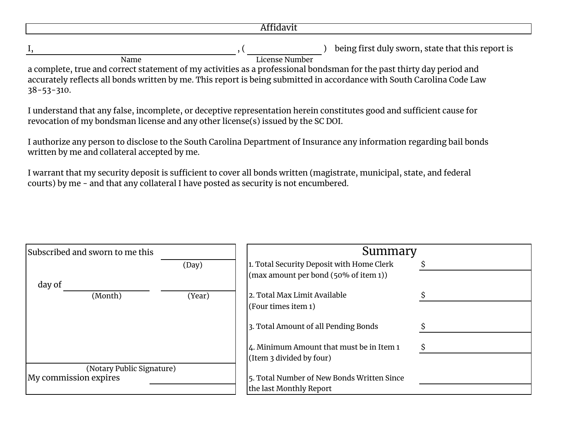I, the same of the state of the state of the state of the state of the state that this report is  $($ a complete, true and correct statement of my activities as a professional bondsman for the past thirty day period and accurately reflects all bonds written by me. This report is being submitted in accordance with South Carolina Code Law 38-53-310. Name License Number

I understand that any false, incomplete, or deceptive representation herein constitutes good and sufficient cause for revocation of my bondsman license and any other license(s) issued by the SC DOI.

I authorize any person to disclose to the South Carolina Department of Insurance any information regarding bail bonds written by me and collateral accepted by me.

I warrant that my security deposit is sufficient to cover all bonds written (magistrate, municipal, state, and federal courts) by me - and that any collateral I have posted as security is not encumbered.

| Subscribed and sworn to me this |        | Summary                                          |  |  |  |  |
|---------------------------------|--------|--------------------------------------------------|--|--|--|--|
|                                 | (Day)  | 1. Total Security Deposit with Home Clerk        |  |  |  |  |
|                                 |        | (max amount per bond $(50\% \text{ of item 1}))$ |  |  |  |  |
| day of                          |        |                                                  |  |  |  |  |
| (Month)                         | (Year) | 2. Total Max Limit Available                     |  |  |  |  |
|                                 |        | (Four times item 1)                              |  |  |  |  |
|                                 |        | 3. Total Amount of all Pending Bonds             |  |  |  |  |
|                                 |        | 4. Minimum Amount that must be in Item 1         |  |  |  |  |
|                                 |        | (Item $3$ divided by four)                       |  |  |  |  |
| (Notary Public Signature)       |        |                                                  |  |  |  |  |
| My commission expires           |        | 5. Total Number of New Bonds Written Since       |  |  |  |  |
|                                 |        | the last Monthly Report                          |  |  |  |  |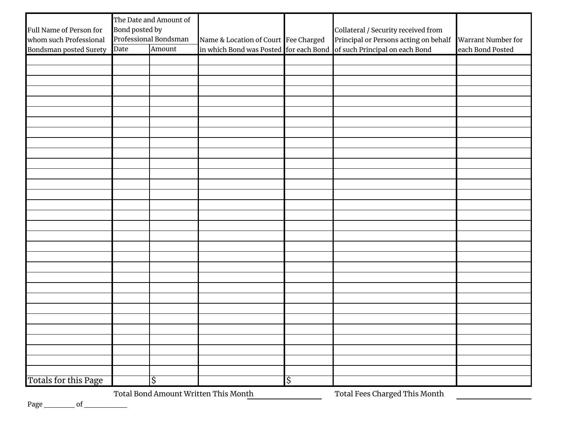| Full Name of Person for<br>whom such Professional<br>Bondsman posted Surety | The Date and Amount of<br>Bond posted by<br>Professional Bondsman<br>Amount<br>Date |    | Name & Location of Court Fee Charged | Collateral / Security received from<br>Principal or Persons acting on behalf<br>in which Bond was Posted for each Bond of such Principal on each Bond | Warrant Number for<br>each Bond Posted |
|-----------------------------------------------------------------------------|-------------------------------------------------------------------------------------|----|--------------------------------------|-------------------------------------------------------------------------------------------------------------------------------------------------------|----------------------------------------|
|                                                                             |                                                                                     |    |                                      |                                                                                                                                                       |                                        |
|                                                                             |                                                                                     |    |                                      |                                                                                                                                                       |                                        |
|                                                                             |                                                                                     |    |                                      |                                                                                                                                                       |                                        |
|                                                                             |                                                                                     |    |                                      |                                                                                                                                                       |                                        |
|                                                                             |                                                                                     |    |                                      |                                                                                                                                                       |                                        |
|                                                                             |                                                                                     |    |                                      |                                                                                                                                                       |                                        |
|                                                                             |                                                                                     |    |                                      |                                                                                                                                                       |                                        |
|                                                                             |                                                                                     |    |                                      |                                                                                                                                                       |                                        |
|                                                                             |                                                                                     |    |                                      |                                                                                                                                                       |                                        |
|                                                                             |                                                                                     |    |                                      |                                                                                                                                                       |                                        |
|                                                                             |                                                                                     |    |                                      |                                                                                                                                                       |                                        |
|                                                                             |                                                                                     |    |                                      |                                                                                                                                                       |                                        |
|                                                                             |                                                                                     |    |                                      |                                                                                                                                                       |                                        |
|                                                                             |                                                                                     |    |                                      |                                                                                                                                                       |                                        |
|                                                                             |                                                                                     |    |                                      |                                                                                                                                                       |                                        |
|                                                                             |                                                                                     |    |                                      |                                                                                                                                                       |                                        |
|                                                                             |                                                                                     |    |                                      |                                                                                                                                                       |                                        |
|                                                                             |                                                                                     |    |                                      |                                                                                                                                                       |                                        |
|                                                                             |                                                                                     |    |                                      |                                                                                                                                                       |                                        |
|                                                                             |                                                                                     |    |                                      |                                                                                                                                                       |                                        |
|                                                                             |                                                                                     |    |                                      |                                                                                                                                                       |                                        |
|                                                                             |                                                                                     |    |                                      |                                                                                                                                                       |                                        |
|                                                                             |                                                                                     |    |                                      |                                                                                                                                                       |                                        |
|                                                                             |                                                                                     |    |                                      |                                                                                                                                                       |                                        |
|                                                                             |                                                                                     |    |                                      |                                                                                                                                                       |                                        |
|                                                                             |                                                                                     |    |                                      |                                                                                                                                                       |                                        |
|                                                                             |                                                                                     |    |                                      |                                                                                                                                                       |                                        |
|                                                                             |                                                                                     |    |                                      |                                                                                                                                                       |                                        |
|                                                                             |                                                                                     |    |                                      |                                                                                                                                                       |                                        |
| Totals for this Page                                                        |                                                                                     | \$ |                                      | \$                                                                                                                                                    |                                        |

Total Bond Amount Written This Month Total Fees Charged This Month

Page \_\_\_\_\_\_of \_\_\_\_\_\_\_\_